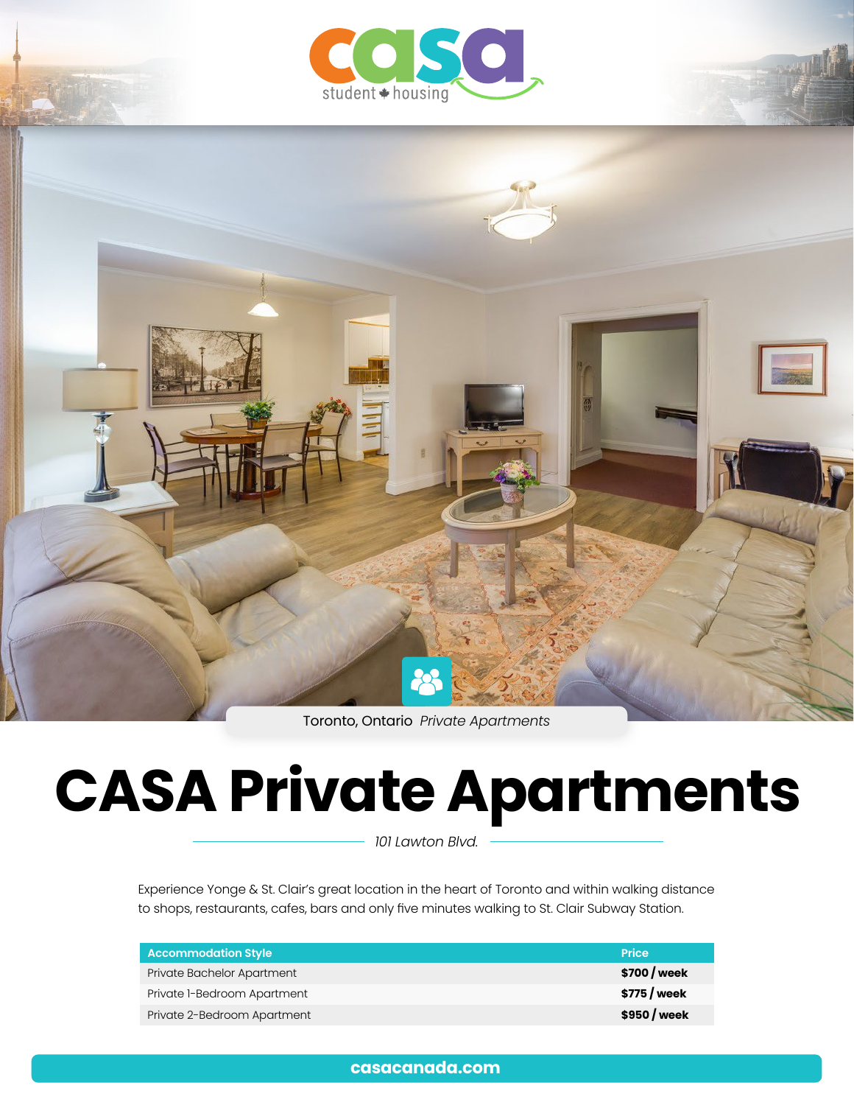



Toronto, Ontario *Private Apartments*

# **CASA Private Apartments**

*101 Lawton Blvd.*

Experience Yonge & St. Clair's great location in the heart of Toronto and within walking distance to shops, restaurants, cafes, bars and only five minutes walking to St. Clair Subway Station.

| Accommodation Style         | <b>Price</b> |
|-----------------------------|--------------|
| Private Bachelor Apartment  | \$700 / week |
| Private 1-Bedroom Apartment | \$775 / week |
| Private 2-Bedroom Apartment | \$950 / week |